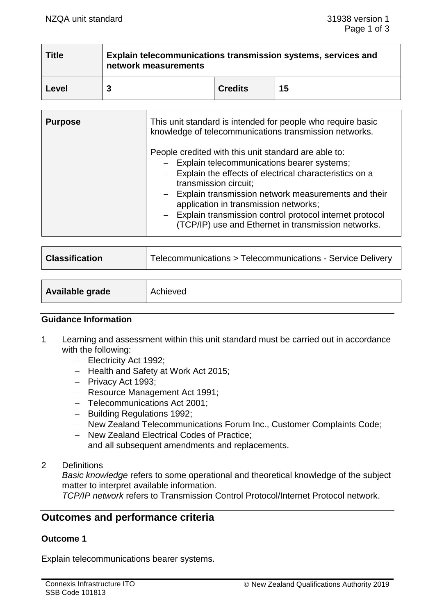| <b>Title</b> | Explain telecommunications transmission systems, services and<br>network measurements |                |    |
|--------------|---------------------------------------------------------------------------------------|----------------|----|
| Level        |                                                                                       | <b>Credits</b> | 15 |

| <b>Purpose</b> | This unit standard is intended for people who require basic<br>knowledge of telecommunications transmission networks.                                                                                                                                                                                                                                                                                           |  |
|----------------|-----------------------------------------------------------------------------------------------------------------------------------------------------------------------------------------------------------------------------------------------------------------------------------------------------------------------------------------------------------------------------------------------------------------|--|
|                | People credited with this unit standard are able to:<br>- Explain telecommunications bearer systems;<br>- Explain the effects of electrical characteristics on a<br>transmission circuit;<br>- Explain transmission network measurements and their<br>application in transmission networks;<br>- Explain transmission control protocol internet protocol<br>(TCP/IP) use and Ethernet in transmission networks. |  |

| <b>Classification</b>  | Telecommunications > Telecommunications - Service Delivery |  |
|------------------------|------------------------------------------------------------|--|
|                        |                                                            |  |
| <b>Available grade</b> | Achieved                                                   |  |

### **Guidance Information**

- 1 Learning and assessment within this unit standard must be carried out in accordance with the following:
	- − Electricity Act 1992;
	- − Health and Safety at Work Act 2015;
	- − Privacy Act 1993;
	- − Resource Management Act 1991;
	- − Telecommunications Act 2001;
	- − Building Regulations 1992;
	- − New Zealand Telecommunications Forum Inc., Customer Complaints Code;
	- − New Zealand Electrical Codes of Practice; and all subsequent amendments and replacements.
- 2 Definitions

*Basic knowledge* refers to some operational and theoretical knowledge of the subject matter to interpret available information.

*TCP/IP network* refers to Transmission Control Protocol/Internet Protocol network.

# **Outcomes and performance criteria**

### **Outcome 1**

Explain telecommunications bearer systems.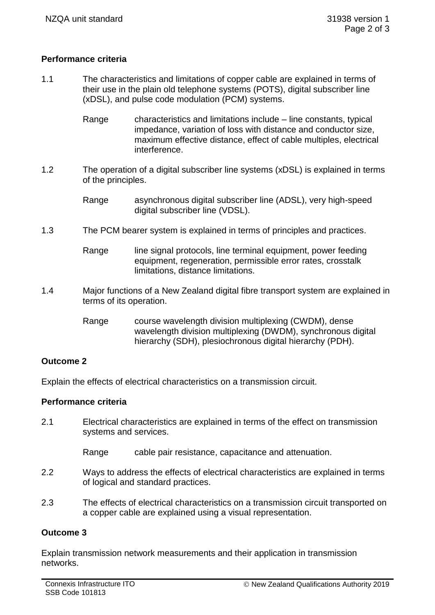# **Performance criteria**

- 1.1 The characteristics and limitations of copper cable are explained in terms of their use in the plain old telephone systems (POTS), digital subscriber line (xDSL), and pulse code modulation (PCM) systems.
	- Range characteristics and limitations include line constants, typical impedance, variation of loss with distance and conductor size, maximum effective distance, effect of cable multiples, electrical interference.
- 1.2 The operation of a digital subscriber line systems (xDSL) is explained in terms of the principles.
	- Range asynchronous digital subscriber line (ADSL), very high-speed digital subscriber line (VDSL).
- 1.3 The PCM bearer system is explained in terms of principles and practices.
	- Range line signal protocols, line terminal equipment, power feeding equipment, regeneration, permissible error rates, crosstalk limitations, distance limitations.
- 1.4 Major functions of a New Zealand digital fibre transport system are explained in terms of its operation.
	- Range course wavelength division multiplexing (CWDM), dense wavelength division multiplexing (DWDM), synchronous digital hierarchy (SDH), plesiochronous digital hierarchy (PDH).

### **Outcome 2**

Explain the effects of electrical characteristics on a transmission circuit.

### **Performance criteria**

2.1 Electrical characteristics are explained in terms of the effect on transmission systems and services.

Range cable pair resistance, capacitance and attenuation.

- 2.2 Ways to address the effects of electrical characteristics are explained in terms of logical and standard practices.
- 2.3 The effects of electrical characteristics on a transmission circuit transported on a copper cable are explained using a visual representation.

### **Outcome 3**

Explain transmission network measurements and their application in transmission networks.